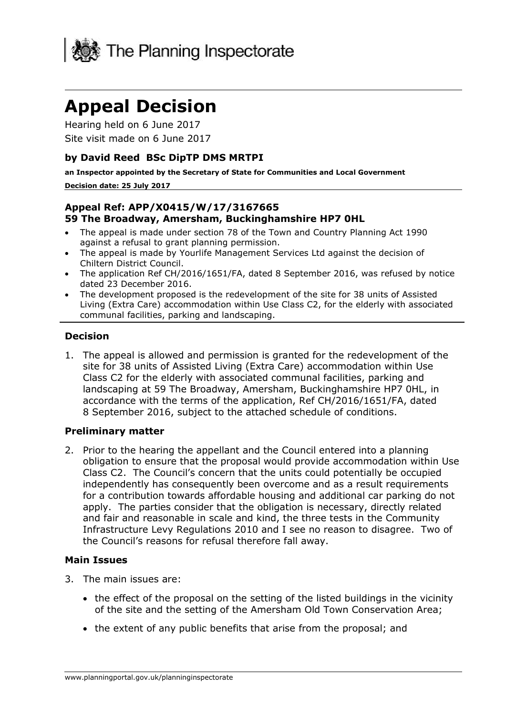

# **Appeal Decision**

Hearing held on 6 June 2017 Site visit made on 6 June 2017

# **by David Reed BSc DipTP DMS MRTPI**

**an Inspector appointed by the Secretary of State for Communities and Local Government**

#### **Decision date: 25 July 2017**

#### **Appeal Ref: APP/X0415/W/17/3167665 59 The Broadway, Amersham, Buckinghamshire HP7 0HL**

- The appeal is made under section 78 of the Town and Country Planning Act 1990 against a refusal to grant planning permission.
- The appeal is made by Yourlife Management Services Ltd against the decision of Chiltern District Council.
- The application Ref CH/2016/1651/FA, dated 8 September 2016, was refused by notice dated 23 December 2016.
- The development proposed is the redevelopment of the site for 38 units of Assisted Living (Extra Care) accommodation within Use Class C2, for the elderly with associated communal facilities, parking and landscaping.

## **Decision**

1. The appeal is allowed and permission is granted for the redevelopment of the site for 38 units of Assisted Living (Extra Care) accommodation within Use Class C2 for the elderly with associated communal facilities, parking and landscaping at 59 The Broadway, Amersham, Buckinghamshire HP7 0HL, in accordance with the terms of the application, Ref CH/2016/1651/FA, dated 8 September 2016, subject to the attached schedule of conditions.

#### **Preliminary matter**

2. Prior to the hearing the appellant and the Council entered into a planning obligation to ensure that the proposal would provide accommodation within Use Class C2. The Council's concern that the units could potentially be occupied independently has consequently been overcome and as a result requirements for a contribution towards affordable housing and additional car parking do not apply. The parties consider that the obligation is necessary, directly related and fair and reasonable in scale and kind, the three tests in the Community Infrastructure Levy Regulations 2010 and I see no reason to disagree. Two of the Council's reasons for refusal therefore fall away.

## **Main Issues**

- 3. The main issues are:
	- the effect of the proposal on the setting of the listed buildings in the vicinity of the site and the setting of the Amersham Old Town Conservation Area;
	- the extent of any public benefits that arise from the proposal; and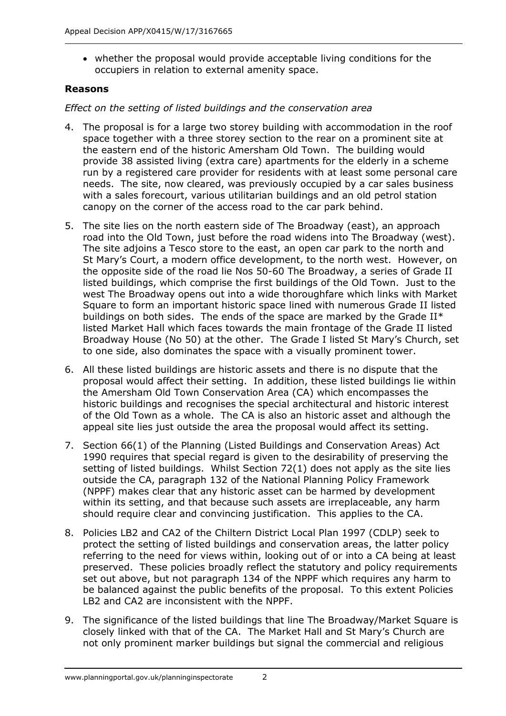whether the proposal would provide acceptable living conditions for the occupiers in relation to external amenity space.

# **Reasons**

# *Effect on the setting of listed buildings and the conservation area*

- 4. The proposal is for a large two storey building with accommodation in the roof space together with a three storey section to the rear on a prominent site at the eastern end of the historic Amersham Old Town. The building would provide 38 assisted living (extra care) apartments for the elderly in a scheme run by a registered care provider for residents with at least some personal care needs. The site, now cleared, was previously occupied by a car sales business with a sales forecourt, various utilitarian buildings and an old petrol station canopy on the corner of the access road to the car park behind.
- 5. The site lies on the north eastern side of The Broadway (east), an approach road into the Old Town, just before the road widens into The Broadway (west). The site adjoins a Tesco store to the east, an open car park to the north and St Mary's Court, a modern office development, to the north west. However, on the opposite side of the road lie Nos 50-60 The Broadway, a series of Grade II listed buildings, which comprise the first buildings of the Old Town. Just to the west The Broadway opens out into a wide thoroughfare which links with Market Square to form an important historic space lined with numerous Grade II listed buildings on both sides. The ends of the space are marked by the Grade II\* listed Market Hall which faces towards the main frontage of the Grade II listed Broadway House (No 50) at the other. The Grade I listed St Mary's Church, set to one side, also dominates the space with a visually prominent tower.
- 6. All these listed buildings are historic assets and there is no dispute that the proposal would affect their setting. In addition, these listed buildings lie within the Amersham Old Town Conservation Area (CA) which encompasses the historic buildings and recognises the special architectural and historic interest of the Old Town as a whole. The CA is also an historic asset and although the appeal site lies just outside the area the proposal would affect its setting.
- 7. Section 66(1) of the Planning (Listed Buildings and Conservation Areas) Act 1990 requires that special regard is given to the desirability of preserving the setting of listed buildings. Whilst Section 72(1) does not apply as the site lies outside the CA, paragraph 132 of the National Planning Policy Framework (NPPF) makes clear that any historic asset can be harmed by development within its setting, and that because such assets are irreplaceable, any harm should require clear and convincing justification. This applies to the CA.
- 8. Policies LB2 and CA2 of the Chiltern District Local Plan 1997 (CDLP) seek to protect the setting of listed buildings and conservation areas, the latter policy referring to the need for views within, looking out of or into a CA being at least preserved. These policies broadly reflect the statutory and policy requirements set out above, but not paragraph 134 of the NPPF which requires any harm to be balanced against the public benefits of the proposal. To this extent Policies LB2 and CA2 are inconsistent with the NPPF.
- 9. The significance of the listed buildings that line The Broadway/Market Square is closely linked with that of the CA. The Market Hall and St Mary's Church are not only prominent marker buildings but signal the commercial and religious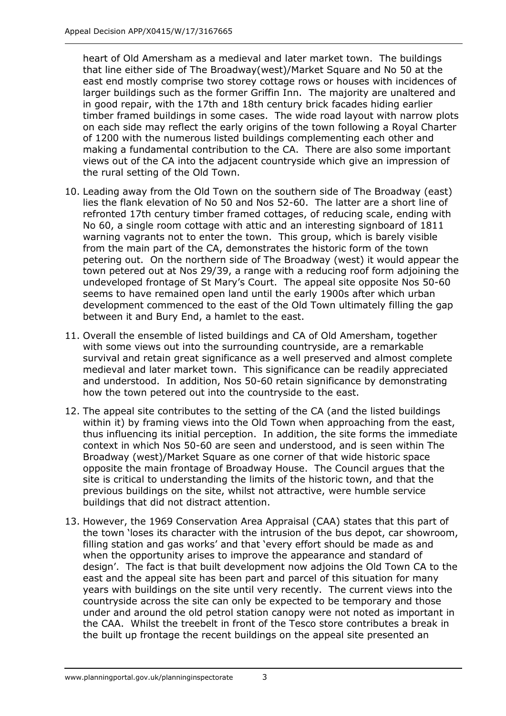heart of Old Amersham as a medieval and later market town. The buildings that line either side of The Broadway(west)/Market Square and No 50 at the east end mostly comprise two storey cottage rows or houses with incidences of larger buildings such as the former Griffin Inn. The majority are unaltered and in good repair, with the 17th and 18th century brick facades hiding earlier timber framed buildings in some cases. The wide road layout with narrow plots on each side may reflect the early origins of the town following a Royal Charter of 1200 with the numerous listed buildings complementing each other and making a fundamental contribution to the CA. There are also some important views out of the CA into the adjacent countryside which give an impression of the rural setting of the Old Town.

- 10. Leading away from the Old Town on the southern side of The Broadway (east) lies the flank elevation of No 50 and Nos 52-60. The latter are a short line of refronted 17th century timber framed cottages, of reducing scale, ending with No 60, a single room cottage with attic and an interesting signboard of 1811 warning vagrants not to enter the town. This group, which is barely visible from the main part of the CA, demonstrates the historic form of the town petering out. On the northern side of The Broadway (west) it would appear the town petered out at Nos 29/39, a range with a reducing roof form adjoining the undeveloped frontage of St Mary's Court. The appeal site opposite Nos 50-60 seems to have remained open land until the early 1900s after which urban development commenced to the east of the Old Town ultimately filling the gap between it and Bury End, a hamlet to the east.
- 11. Overall the ensemble of listed buildings and CA of Old Amersham, together with some views out into the surrounding countryside, are a remarkable survival and retain great significance as a well preserved and almost complete medieval and later market town. This significance can be readily appreciated and understood. In addition, Nos 50-60 retain significance by demonstrating how the town petered out into the countryside to the east.
- 12. The appeal site contributes to the setting of the CA (and the listed buildings within it) by framing views into the Old Town when approaching from the east, thus influencing its initial perception. In addition, the site forms the immediate context in which Nos 50-60 are seen and understood, and is seen within The Broadway (west)/Market Square as one corner of that wide historic space opposite the main frontage of Broadway House. The Council argues that the site is critical to understanding the limits of the historic town, and that the previous buildings on the site, whilst not attractive, were humble service buildings that did not distract attention.
- 13. However, the 1969 Conservation Area Appraisal (CAA) states that this part of the town 'loses its character with the intrusion of the bus depot, car showroom, filling station and gas works' and that 'every effort should be made as and when the opportunity arises to improve the appearance and standard of design'. The fact is that built development now adjoins the Old Town CA to the east and the appeal site has been part and parcel of this situation for many years with buildings on the site until very recently. The current views into the countryside across the site can only be expected to be temporary and those under and around the old petrol station canopy were not noted as important in the CAA. Whilst the treebelt in front of the Tesco store contributes a break in the built up frontage the recent buildings on the appeal site presented an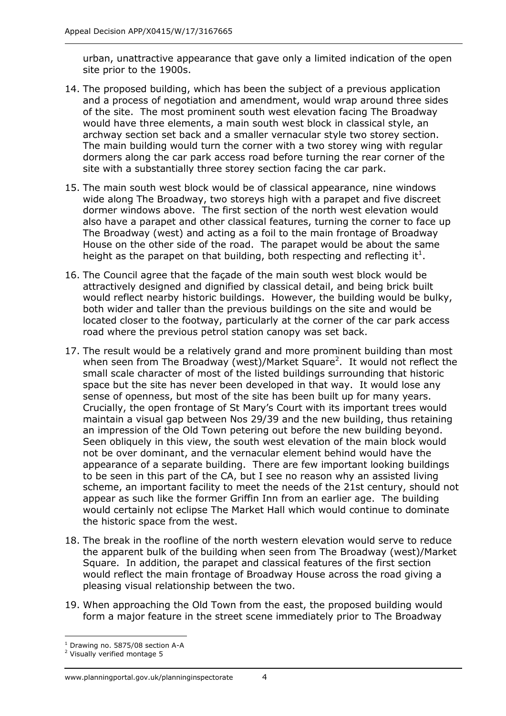urban, unattractive appearance that gave only a limited indication of the open site prior to the 1900s.

- 14. The proposed building, which has been the subject of a previous application and a process of negotiation and amendment, would wrap around three sides of the site. The most prominent south west elevation facing The Broadway would have three elements, a main south west block in classical style, an archway section set back and a smaller vernacular style two storey section. The main building would turn the corner with a two storey wing with regular dormers along the car park access road before turning the rear corner of the site with a substantially three storey section facing the car park.
- 15. The main south west block would be of classical appearance, nine windows wide along The Broadway, two storeys high with a parapet and five discreet dormer windows above. The first section of the north west elevation would also have a parapet and other classical features, turning the corner to face up The Broadway (west) and acting as a foil to the main frontage of Broadway House on the other side of the road. The parapet would be about the same height as the parapet on that building, both respecting and reflecting it<sup>1</sup>.
- 16. The Council agree that the façade of the main south west block would be attractively designed and dignified by classical detail, and being brick built would reflect nearby historic buildings. However, the building would be bulky, both wider and taller than the previous buildings on the site and would be located closer to the footway, particularly at the corner of the car park access road where the previous petrol station canopy was set back.
- 17. The result would be a relatively grand and more prominent building than most when seen from The Broadway (west)/Market Square<sup>2</sup>. It would not reflect the small scale character of most of the listed buildings surrounding that historic space but the site has never been developed in that way. It would lose any sense of openness, but most of the site has been built up for many years. Crucially, the open frontage of St Mary's Court with its important trees would maintain a visual gap between Nos 29/39 and the new building, thus retaining an impression of the Old Town petering out before the new building beyond. Seen obliquely in this view, the south west elevation of the main block would not be over dominant, and the vernacular element behind would have the appearance of a separate building. There are few important looking buildings to be seen in this part of the CA, but I see no reason why an assisted living scheme, an important facility to meet the needs of the 21st century, should not appear as such like the former Griffin Inn from an earlier age. The building would certainly not eclipse The Market Hall which would continue to dominate the historic space from the west.
- 18. The break in the roofline of the north western elevation would serve to reduce the apparent bulk of the building when seen from The Broadway (west)/Market Square. In addition, the parapet and classical features of the first section would reflect the main frontage of Broadway House across the road giving a pleasing visual relationship between the two.
- 19. When approaching the Old Town from the east, the proposed building would form a major feature in the street scene immediately prior to The Broadway

j  $1$  Drawing no. 5875/08 section A-A

<sup>2</sup> Visually verified montage 5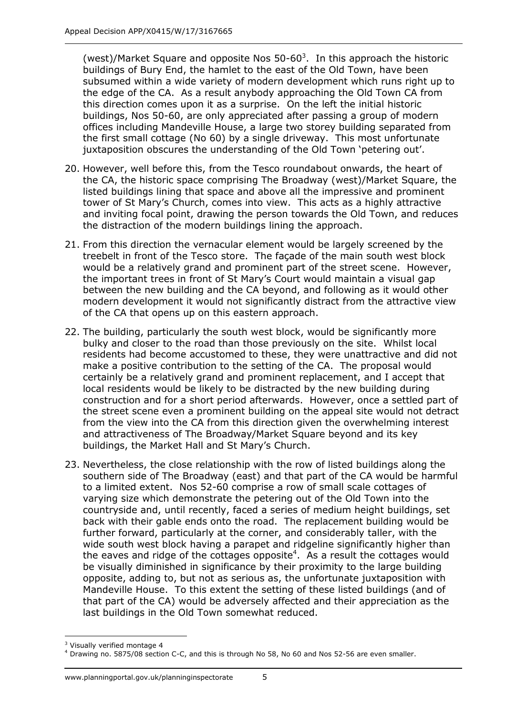(west)/Market Square and opposite Nos  $50$ -60<sup>3</sup>. In this approach the historic buildings of Bury End, the hamlet to the east of the Old Town, have been subsumed within a wide variety of modern development which runs right up to the edge of the CA. As a result anybody approaching the Old Town CA from this direction comes upon it as a surprise. On the left the initial historic buildings, Nos 50-60, are only appreciated after passing a group of modern offices including Mandeville House, a large two storey building separated from the first small cottage (No 60) by a single driveway. This most unfortunate juxtaposition obscures the understanding of the Old Town 'petering out'.

- 20. However, well before this, from the Tesco roundabout onwards, the heart of the CA, the historic space comprising The Broadway (west)/Market Square, the listed buildings lining that space and above all the impressive and prominent tower of St Mary's Church, comes into view. This acts as a highly attractive and inviting focal point, drawing the person towards the Old Town, and reduces the distraction of the modern buildings lining the approach.
- 21. From this direction the vernacular element would be largely screened by the treebelt in front of the Tesco store. The façade of the main south west block would be a relatively grand and prominent part of the street scene. However, the important trees in front of St Mary's Court would maintain a visual gap between the new building and the CA beyond, and following as it would other modern development it would not significantly distract from the attractive view of the CA that opens up on this eastern approach.
- 22. The building, particularly the south west block, would be significantly more bulky and closer to the road than those previously on the site. Whilst local residents had become accustomed to these, they were unattractive and did not make a positive contribution to the setting of the CA. The proposal would certainly be a relatively grand and prominent replacement, and I accept that local residents would be likely to be distracted by the new building during construction and for a short period afterwards. However, once a settled part of the street scene even a prominent building on the appeal site would not detract from the view into the CA from this direction given the overwhelming interest and attractiveness of The Broadway/Market Square beyond and its key buildings, the Market Hall and St Mary's Church.
- 23. Nevertheless, the close relationship with the row of listed buildings along the southern side of The Broadway (east) and that part of the CA would be harmful to a limited extent. Nos 52-60 comprise a row of small scale cottages of varying size which demonstrate the petering out of the Old Town into the countryside and, until recently, faced a series of medium height buildings, set back with their gable ends onto the road. The replacement building would be further forward, particularly at the corner, and considerably taller, with the wide south west block having a parapet and ridgeline significantly higher than the eaves and ridge of the cottages opposite<sup>4</sup>. As a result the cottages would be visually diminished in significance by their proximity to the large building opposite, adding to, but not as serious as, the unfortunate juxtaposition with Mandeville House. To this extent the setting of these listed buildings (and of that part of the CA) would be adversely affected and their appreciation as the last buildings in the Old Town somewhat reduced.

j <sup>3</sup> Visually verified montage 4

<sup>4</sup> Drawing no. 5875/08 section C-C, and this is through No 58, No 60 and Nos 52-56 are even smaller.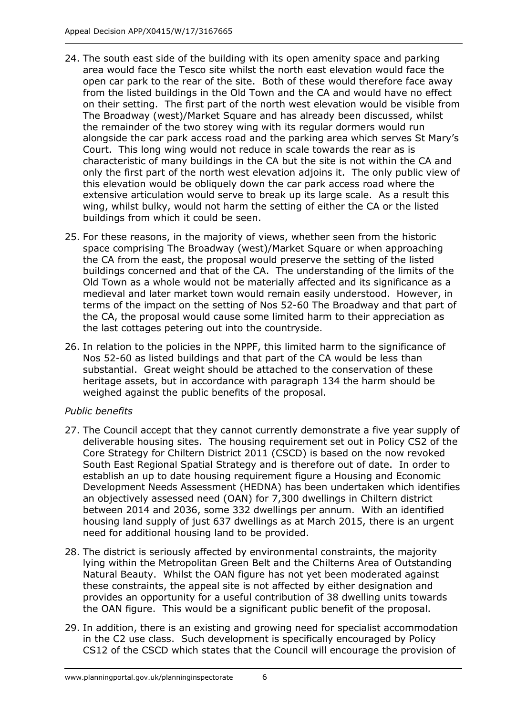- 24. The south east side of the building with its open amenity space and parking area would face the Tesco site whilst the north east elevation would face the open car park to the rear of the site. Both of these would therefore face away from the listed buildings in the Old Town and the CA and would have no effect on their setting. The first part of the north west elevation would be visible from The Broadway (west)/Market Square and has already been discussed, whilst the remainder of the two storey wing with its regular dormers would run alongside the car park access road and the parking area which serves St Mary's Court. This long wing would not reduce in scale towards the rear as is characteristic of many buildings in the CA but the site is not within the CA and only the first part of the north west elevation adjoins it. The only public view of this elevation would be obliquely down the car park access road where the extensive articulation would serve to break up its large scale. As a result this wing, whilst bulky, would not harm the setting of either the CA or the listed buildings from which it could be seen.
- 25. For these reasons, in the majority of views, whether seen from the historic space comprising The Broadway (west)/Market Square or when approaching the CA from the east, the proposal would preserve the setting of the listed buildings concerned and that of the CA. The understanding of the limits of the Old Town as a whole would not be materially affected and its significance as a medieval and later market town would remain easily understood. However, in terms of the impact on the setting of Nos 52-60 The Broadway and that part of the CA, the proposal would cause some limited harm to their appreciation as the last cottages petering out into the countryside.
- 26. In relation to the policies in the NPPF, this limited harm to the significance of Nos 52-60 as listed buildings and that part of the CA would be less than substantial. Great weight should be attached to the conservation of these heritage assets, but in accordance with paragraph 134 the harm should be weighed against the public benefits of the proposal.

# *Public benefits*

- 27. The Council accept that they cannot currently demonstrate a five year supply of deliverable housing sites. The housing requirement set out in Policy CS2 of the Core Strategy for Chiltern District 2011 (CSCD) is based on the now revoked South East Regional Spatial Strategy and is therefore out of date. In order to establish an up to date housing requirement figure a Housing and Economic Development Needs Assessment (HEDNA) has been undertaken which identifies an objectively assessed need (OAN) for 7,300 dwellings in Chiltern district between 2014 and 2036, some 332 dwellings per annum. With an identified housing land supply of just 637 dwellings as at March 2015, there is an urgent need for additional housing land to be provided.
- 28. The district is seriously affected by environmental constraints, the majority lying within the Metropolitan Green Belt and the Chilterns Area of Outstanding Natural Beauty. Whilst the OAN figure has not yet been moderated against these constraints, the appeal site is not affected by either designation and provides an opportunity for a useful contribution of 38 dwelling units towards the OAN figure. This would be a significant public benefit of the proposal.
- 29. In addition, there is an existing and growing need for specialist accommodation in the C2 use class. Such development is specifically encouraged by Policy CS12 of the CSCD which states that the Council will encourage the provision of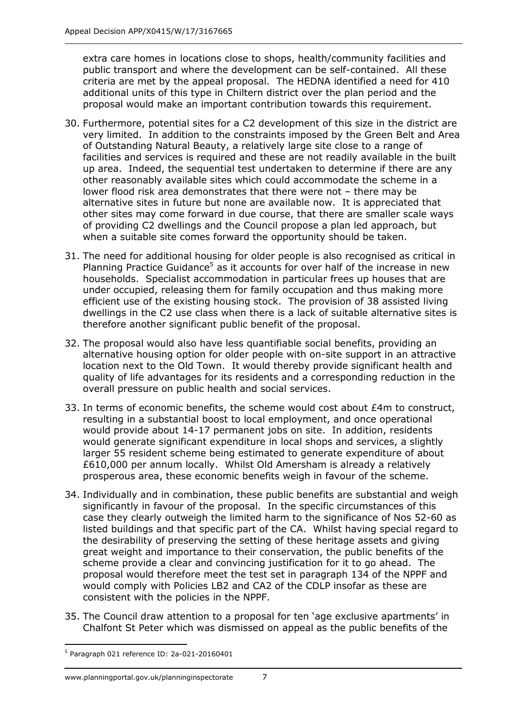extra care homes in locations close to shops, health/community facilities and public transport and where the development can be self-contained. All these criteria are met by the appeal proposal. The HEDNA identified a need for 410 additional units of this type in Chiltern district over the plan period and the proposal would make an important contribution towards this requirement.

- 30. Furthermore, potential sites for a C2 development of this size in the district are very limited. In addition to the constraints imposed by the Green Belt and Area of Outstanding Natural Beauty, a relatively large site close to a range of facilities and services is required and these are not readily available in the built up area. Indeed, the sequential test undertaken to determine if there are any other reasonably available sites which could accommodate the scheme in a lower flood risk area demonstrates that there were not – there may be alternative sites in future but none are available now. It is appreciated that other sites may come forward in due course, that there are smaller scale ways of providing C2 dwellings and the Council propose a plan led approach, but when a suitable site comes forward the opportunity should be taken.
- 31. The need for additional housing for older people is also recognised as critical in Planning Practice Guidance<sup>5</sup> as it accounts for over half of the increase in new households. Specialist accommodation in particular frees up houses that are under occupied, releasing them for family occupation and thus making more efficient use of the existing housing stock. The provision of 38 assisted living dwellings in the C2 use class when there is a lack of suitable alternative sites is therefore another significant public benefit of the proposal.
- 32. The proposal would also have less quantifiable social benefits, providing an alternative housing option for older people with on-site support in an attractive location next to the Old Town. It would thereby provide significant health and quality of life advantages for its residents and a corresponding reduction in the overall pressure on public health and social services.
- 33. In terms of economic benefits, the scheme would cost about £4m to construct, resulting in a substantial boost to local employment, and once operational would provide about 14-17 permanent jobs on site. In addition, residents would generate significant expenditure in local shops and services, a slightly larger 55 resident scheme being estimated to generate expenditure of about £610,000 per annum locally. Whilst Old Amersham is already a relatively prosperous area, these economic benefits weigh in favour of the scheme.
- 34. Individually and in combination, these public benefits are substantial and weigh significantly in favour of the proposal. In the specific circumstances of this case they clearly outweigh the limited harm to the significance of Nos 52-60 as listed buildings and that specific part of the CA. Whilst having special regard to the desirability of preserving the setting of these heritage assets and giving great weight and importance to their conservation, the public benefits of the scheme provide a clear and convincing justification for it to go ahead. The proposal would therefore meet the test set in paragraph 134 of the NPPF and would comply with Policies LB2 and CA2 of the CDLP insofar as these are consistent with the policies in the NPPF.
- 35. The Council draw attention to a proposal for ten 'age exclusive apartments' in Chalfont St Peter which was dismissed on appeal as the public benefits of the

<sup>-</sup><sup>5</sup> Paragraph 021 reference ID: 2a-021-20160401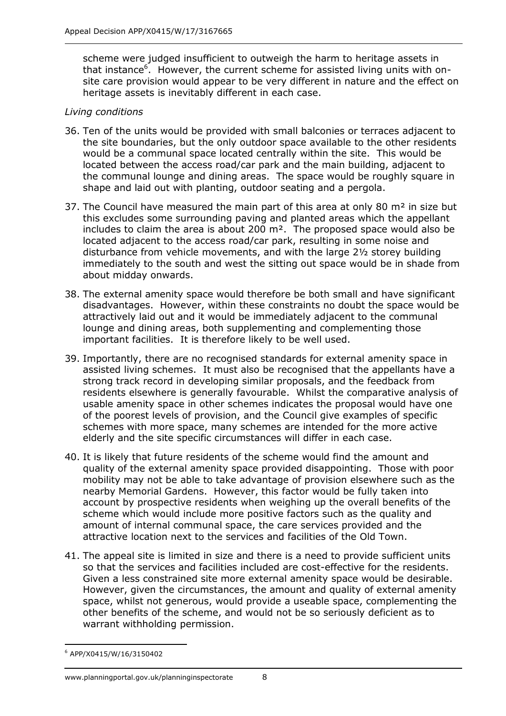scheme were judged insufficient to outweigh the harm to heritage assets in that instance<sup>6</sup>. However, the current scheme for assisted living units with onsite care provision would appear to be very different in nature and the effect on heritage assets is inevitably different in each case.

## *Living conditions*

- 36. Ten of the units would be provided with small balconies or terraces adjacent to the site boundaries, but the only outdoor space available to the other residents would be a communal space located centrally within the site. This would be located between the access road/car park and the main building, adjacent to the communal lounge and dining areas. The space would be roughly square in shape and laid out with planting, outdoor seating and a pergola.
- 37. The Council have measured the main part of this area at only 80  $m<sup>2</sup>$  in size but this excludes some surrounding paving and planted areas which the appellant includes to claim the area is about 200 m². The proposed space would also be located adjacent to the access road/car park, resulting in some noise and disturbance from vehicle movements, and with the large 2½ storey building immediately to the south and west the sitting out space would be in shade from about midday onwards.
- 38. The external amenity space would therefore be both small and have significant disadvantages. However, within these constraints no doubt the space would be attractively laid out and it would be immediately adjacent to the communal lounge and dining areas, both supplementing and complementing those important facilities. It is therefore likely to be well used.
- 39. Importantly, there are no recognised standards for external amenity space in assisted living schemes. It must also be recognised that the appellants have a strong track record in developing similar proposals, and the feedback from residents elsewhere is generally favourable. Whilst the comparative analysis of usable amenity space in other schemes indicates the proposal would have one of the poorest levels of provision, and the Council give examples of specific schemes with more space, many schemes are intended for the more active elderly and the site specific circumstances will differ in each case.
- 40. It is likely that future residents of the scheme would find the amount and quality of the external amenity space provided disappointing. Those with poor mobility may not be able to take advantage of provision elsewhere such as the nearby Memorial Gardens. However, this factor would be fully taken into account by prospective residents when weighing up the overall benefits of the scheme which would include more positive factors such as the quality and amount of internal communal space, the care services provided and the attractive location next to the services and facilities of the Old Town.
- 41. The appeal site is limited in size and there is a need to provide sufficient units so that the services and facilities included are cost-effective for the residents. Given a less constrained site more external amenity space would be desirable. However, given the circumstances, the amount and quality of external amenity space, whilst not generous, would provide a useable space, complementing the other benefits of the scheme, and would not be so seriously deficient as to warrant withholding permission.

-

<sup>6</sup> APP/X0415/W/16/3150402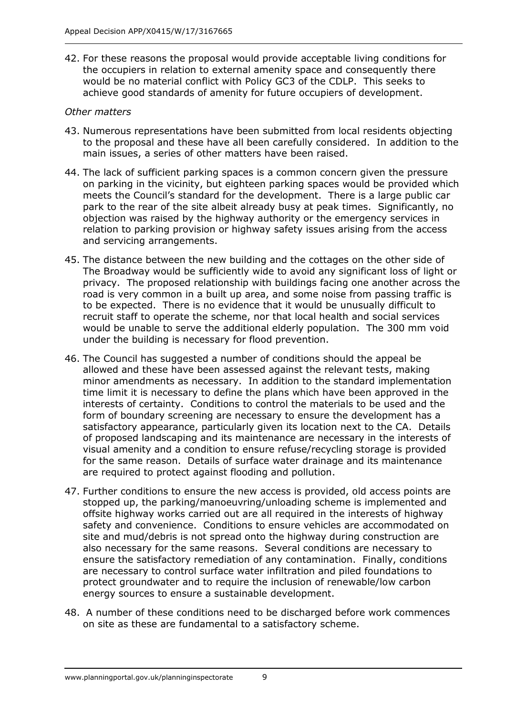42. For these reasons the proposal would provide acceptable living conditions for the occupiers in relation to external amenity space and consequently there would be no material conflict with Policy GC3 of the CDLP. This seeks to achieve good standards of amenity for future occupiers of development.

## *Other matters*

- 43. Numerous representations have been submitted from local residents objecting to the proposal and these have all been carefully considered. In addition to the main issues, a series of other matters have been raised.
- 44. The lack of sufficient parking spaces is a common concern given the pressure on parking in the vicinity, but eighteen parking spaces would be provided which meets the Council's standard for the development. There is a large public car park to the rear of the site albeit already busy at peak times. Significantly, no objection was raised by the highway authority or the emergency services in relation to parking provision or highway safety issues arising from the access and servicing arrangements.
- 45. The distance between the new building and the cottages on the other side of The Broadway would be sufficiently wide to avoid any significant loss of light or privacy. The proposed relationship with buildings facing one another across the road is very common in a built up area, and some noise from passing traffic is to be expected. There is no evidence that it would be unusually difficult to recruit staff to operate the scheme, nor that local health and social services would be unable to serve the additional elderly population. The 300 mm void under the building is necessary for flood prevention.
- 46. The Council has suggested a number of conditions should the appeal be allowed and these have been assessed against the relevant tests, making minor amendments as necessary. In addition to the standard implementation time limit it is necessary to define the plans which have been approved in the interests of certainty. Conditions to control the materials to be used and the form of boundary screening are necessary to ensure the development has a satisfactory appearance, particularly given its location next to the CA. Details of proposed landscaping and its maintenance are necessary in the interests of visual amenity and a condition to ensure refuse/recycling storage is provided for the same reason. Details of surface water drainage and its maintenance are required to protect against flooding and pollution.
- 47. Further conditions to ensure the new access is provided, old access points are stopped up, the parking/manoeuvring/unloading scheme is implemented and offsite highway works carried out are all required in the interests of highway safety and convenience. Conditions to ensure vehicles are accommodated on site and mud/debris is not spread onto the highway during construction are also necessary for the same reasons. Several conditions are necessary to ensure the satisfactory remediation of any contamination. Finally, conditions are necessary to control surface water infiltration and piled foundations to protect groundwater and to require the inclusion of renewable/low carbon energy sources to ensure a sustainable development.
- 48. A number of these conditions need to be discharged before work commences on site as these are fundamental to a satisfactory scheme.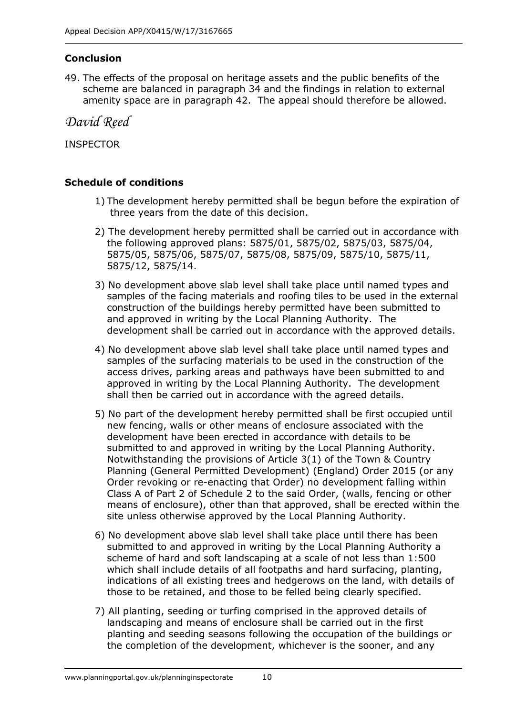# **Conclusion**

49. The effects of the proposal on heritage assets and the public benefits of the scheme are balanced in paragraph 34 and the findings in relation to external amenity space are in paragraph 42. The appeal should therefore be allowed.

*David Reed*

INSPECTOR

# **Schedule of conditions**

- 1) The development hereby permitted shall be begun before the expiration of three years from the date of this decision.
- 2) The development hereby permitted shall be carried out in accordance with the following approved plans: 5875/01, 5875/02, 5875/03, 5875/04, 5875/05, 5875/06, 5875/07, 5875/08, 5875/09, 5875/10, 5875/11, 5875/12, 5875/14.
- 3) No development above slab level shall take place until named types and samples of the facing materials and roofing tiles to be used in the external construction of the buildings hereby permitted have been submitted to and approved in writing by the Local Planning Authority. The development shall be carried out in accordance with the approved details.
- 4) No development above slab level shall take place until named types and samples of the surfacing materials to be used in the construction of the access drives, parking areas and pathways have been submitted to and approved in writing by the Local Planning Authority. The development shall then be carried out in accordance with the agreed details.
- 5) No part of the development hereby permitted shall be first occupied until new fencing, walls or other means of enclosure associated with the development have been erected in accordance with details to be submitted to and approved in writing by the Local Planning Authority. Notwithstanding the provisions of Article 3(1) of the Town & Country Planning (General Permitted Development) (England) Order 2015 (or any Order revoking or re-enacting that Order) no development falling within Class A of Part 2 of Schedule 2 to the said Order, (walls, fencing or other means of enclosure), other than that approved, shall be erected within the site unless otherwise approved by the Local Planning Authority.
- 6) No development above slab level shall take place until there has been submitted to and approved in writing by the Local Planning Authority a scheme of hard and soft landscaping at a scale of not less than 1:500 which shall include details of all footpaths and hard surfacing, planting, indications of all existing trees and hedgerows on the land, with details of those to be retained, and those to be felled being clearly specified.
- 7) All planting, seeding or turfing comprised in the approved details of landscaping and means of enclosure shall be carried out in the first planting and seeding seasons following the occupation of the buildings or the completion of the development, whichever is the sooner, and any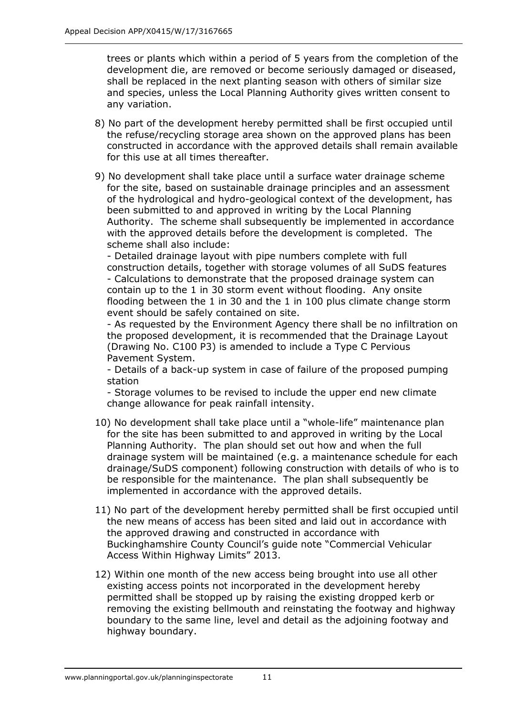trees or plants which within a period of 5 years from the completion of the development die, are removed or become seriously damaged or diseased, shall be replaced in the next planting season with others of similar size and species, unless the Local Planning Authority gives written consent to any variation.

- 8) No part of the development hereby permitted shall be first occupied until the refuse/recycling storage area shown on the approved plans has been constructed in accordance with the approved details shall remain available for this use at all times thereafter.
- 9) No development shall take place until a surface water drainage scheme for the site, based on sustainable drainage principles and an assessment of the hydrological and hydro-geological context of the development, has been submitted to and approved in writing by the Local Planning Authority. The scheme shall subsequently be implemented in accordance with the approved details before the development is completed. The scheme shall also include:

- Detailed drainage layout with pipe numbers complete with full construction details, together with storage volumes of all SuDS features - Calculations to demonstrate that the proposed drainage system can contain up to the 1 in 30 storm event without flooding. Any onsite flooding between the 1 in 30 and the 1 in 100 plus climate change storm event should be safely contained on site.

- As requested by the Environment Agency there shall be no infiltration on the proposed development, it is recommended that the Drainage Layout (Drawing No. C100 P3) is amended to include a Type C Pervious Pavement System.

- Details of a back-up system in case of failure of the proposed pumping station

- Storage volumes to be revised to include the upper end new climate change allowance for peak rainfall intensity.

- 10) No development shall take place until a "whole-life" maintenance plan for the site has been submitted to and approved in writing by the Local Planning Authority. The plan should set out how and when the full drainage system will be maintained (e.g. a maintenance schedule for each drainage/SuDS component) following construction with details of who is to be responsible for the maintenance. The plan shall subsequently be implemented in accordance with the approved details.
- 11) No part of the development hereby permitted shall be first occupied until the new means of access has been sited and laid out in accordance with the approved drawing and constructed in accordance with Buckinghamshire County Council's guide note "Commercial Vehicular Access Within Highway Limits" 2013.
- 12) Within one month of the new access being brought into use all other existing access points not incorporated in the development hereby permitted shall be stopped up by raising the existing dropped kerb or removing the existing bellmouth and reinstating the footway and highway boundary to the same line, level and detail as the adjoining footway and highway boundary.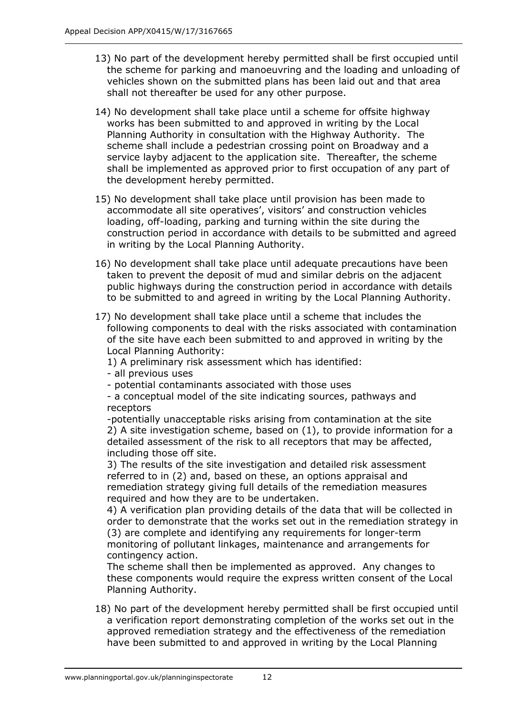- 13) No part of the development hereby permitted shall be first occupied until the scheme for parking and manoeuvring and the loading and unloading of vehicles shown on the submitted plans has been laid out and that area shall not thereafter be used for any other purpose.
- 14) No development shall take place until a scheme for offsite highway works has been submitted to and approved in writing by the Local Planning Authority in consultation with the Highway Authority. The scheme shall include a pedestrian crossing point on Broadway and a service layby adjacent to the application site. Thereafter, the scheme shall be implemented as approved prior to first occupation of any part of the development hereby permitted.
- 15) No development shall take place until provision has been made to accommodate all site operatives', visitors' and construction vehicles loading, off-loading, parking and turning within the site during the construction period in accordance with details to be submitted and agreed in writing by the Local Planning Authority.
- 16) No development shall take place until adequate precautions have been taken to prevent the deposit of mud and similar debris on the adjacent public highways during the construction period in accordance with details to be submitted to and agreed in writing by the Local Planning Authority.
- 17) No development shall take place until a scheme that includes the following components to deal with the risks associated with contamination of the site have each been submitted to and approved in writing by the Local Planning Authority:

1) A preliminary risk assessment which has identified:

- all previous uses
- potential contaminants associated with those uses
- a conceptual model of the site indicating sources, pathways and receptors

-potentially unacceptable risks arising from contamination at the site 2) A site investigation scheme, based on (1), to provide information for a detailed assessment of the risk to all receptors that may be affected, including those off site.

3) The results of the site investigation and detailed risk assessment referred to in (2) and, based on these, an options appraisal and remediation strategy giving full details of the remediation measures required and how they are to be undertaken.

4) A verification plan providing details of the data that will be collected in order to demonstrate that the works set out in the remediation strategy in (3) are complete and identifying any requirements for longer-term monitoring of pollutant linkages, maintenance and arrangements for contingency action.

The scheme shall then be implemented as approved. Any changes to these components would require the express written consent of the Local Planning Authority.

18) No part of the development hereby permitted shall be first occupied until a verification report demonstrating completion of the works set out in the approved remediation strategy and the effectiveness of the remediation have been submitted to and approved in writing by the Local Planning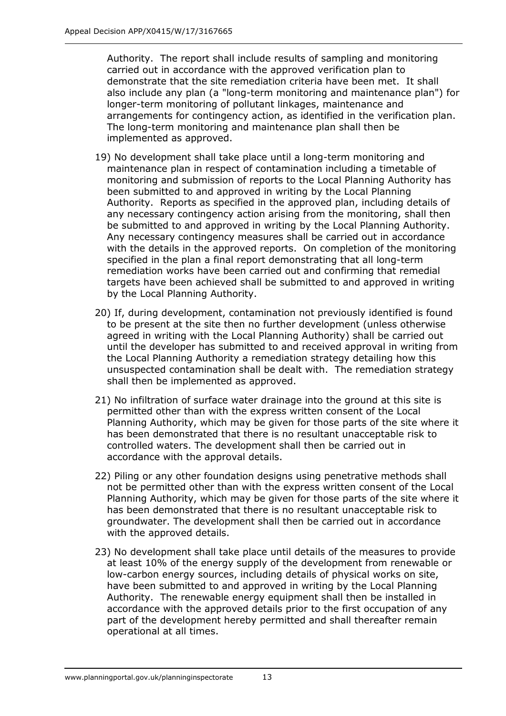Authority. The report shall include results of sampling and monitoring carried out in accordance with the approved verification plan to demonstrate that the site remediation criteria have been met. It shall also include any plan (a "long-term monitoring and maintenance plan") for longer-term monitoring of pollutant linkages, maintenance and arrangements for contingency action, as identified in the verification plan. The long-term monitoring and maintenance plan shall then be implemented as approved.

- 19) No development shall take place until a long-term monitoring and maintenance plan in respect of contamination including a timetable of monitoring and submission of reports to the Local Planning Authority has been submitted to and approved in writing by the Local Planning Authority. Reports as specified in the approved plan, including details of any necessary contingency action arising from the monitoring, shall then be submitted to and approved in writing by the Local Planning Authority. Any necessary contingency measures shall be carried out in accordance with the details in the approved reports. On completion of the monitoring specified in the plan a final report demonstrating that all long-term remediation works have been carried out and confirming that remedial targets have been achieved shall be submitted to and approved in writing by the Local Planning Authority.
- 20) If, during development, contamination not previously identified is found to be present at the site then no further development (unless otherwise agreed in writing with the Local Planning Authority) shall be carried out until the developer has submitted to and received approval in writing from the Local Planning Authority a remediation strategy detailing how this unsuspected contamination shall be dealt with. The remediation strategy shall then be implemented as approved.
- 21) No infiltration of surface water drainage into the ground at this site is permitted other than with the express written consent of the Local Planning Authority, which may be given for those parts of the site where it has been demonstrated that there is no resultant unacceptable risk to controlled waters. The development shall then be carried out in accordance with the approval details.
- 22) Piling or any other foundation designs using penetrative methods shall not be permitted other than with the express written consent of the Local Planning Authority, which may be given for those parts of the site where it has been demonstrated that there is no resultant unacceptable risk to groundwater. The development shall then be carried out in accordance with the approved details.
- 23) No development shall take place until details of the measures to provide at least 10% of the energy supply of the development from renewable or low-carbon energy sources, including details of physical works on site, have been submitted to and approved in writing by the Local Planning Authority. The renewable energy equipment shall then be installed in accordance with the approved details prior to the first occupation of any part of the development hereby permitted and shall thereafter remain operational at all times.